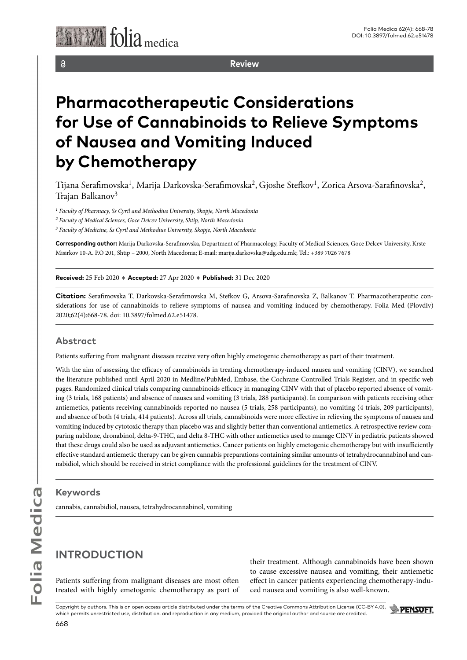

 $\delta$ 

**Review**

# **Pharmacotherapeutic Considerations for Use of Cannabinoids to Relieve Symptoms of Nausea and Vomiting Induced by Chemotherapy**

Tijana Serafimovska<sup>1</sup>, Marija Darkovska-Serafimovska<sup>2</sup>, Gjoshe Stefkov<sup>1</sup>, Zorica Arsova-Sarafinovska<sup>2</sup>, Trajan Balkanov<sup>3</sup>

<sup>1</sup> Faculty of Pharmacy, Ss Cyril and Methodius University, Skopje, North Macedonia

<sup>2</sup> Faculty of Medical Sciences, Goce Delcev University, Shtip, North Macedonia

*3 Faculty of Medicine, Ss Cyril and Methodius University, Skopje, North Macedonia* 

**Corresponding author:** Marija Darkovska-Serafimovska, Department of Pharmacology, Faculty of Medical Sciences, Goce Delcev University, Krste Misirkov 10-A. P.O 201, Shtip – 2000, North Macedonia; E-mail: marija.darkovska@udg.edu.mk; Tel.: +389 7026 7678

**Received:** 25 Feb 2020 ♦ **Accepted:** 27 Apr 2020 ♦ **Published:** 31 Dec 2020

**Citation:** Serafimovska T, Darkovska-Serafimovska M, Stefkov G, Arsova-Sarafinovska Z, Balkanov T. Pharmacotherapeutic considerations for use of cannabinoids to relieve symptoms of nausea and vomiting induced by chemotherapy. Folia Med (Plovdiv) 2020;62(4):668-78. doi: 10.3897/folmed.62.e51478.

#### **Abstract**

Patients suffering from malignant diseases receive very often highly emetogenic chemotherapy as part of their treatment.

With the aim of assessing the efficacy of cannabinoids in treating chemotherapy-induced nausea and vomiting (CINV), we searched the literature published until April 2020 in Medline/PubMed, Embase, the Cochrane Controlled Trials Register, and in specific web pages. Randomized clinical trials comparing cannabinoids efficacy in managing CINV with that of placebo reported absence of vomiting (3 trials, 168 patients) and absence of nausea and vomiting (3 trials, 288 participants). In comparison with patients receiving other antiemetics, patients receiving cannabinoids reported no nausea (5 trials, 258 participants), no vomiting (4 trials, 209 participants), and absence of both (4 trials, 414 patients). Across all trials, cannabinoids were more effective in relieving the symptoms of nausea and vomiting induced by cytotoxic therapy than placebo was and slightly better than conventional antiemetics. A retrospective review comparing nabilone, dronabinol, delta-9-THC, and delta 8-THC with other antiemetics used to manage CINV in pediatric patients showed that these drugs could also be used as adjuvant antiemetics. Cancer patients on highly emetogenic chemotherapy but with insufficiently effective standard antiemetic therapy can be given cannabis preparations containing similar amounts of tetrahydrocannabinol and cannabidiol, which should be received in strict compliance with the professional guidelines for the treatment of CINV.

#### **Keywords**

cannabis, cannabidiol, nausea, tetrahydrocannabinol, vomiting

### **INTRODUCTION**

Patients suffering from malignant diseases are most often treated with highly emetogenic chemotherapy as part of their treatment. Although cannabinoids have been shown to cause excessive nausea and vomiting, their antiemetic effect in cancer patients experiencing chemotherapy-induced nausea and vomiting is also well-known.

Copyright by authors*.* This is an open access article distributed under the terms of the Creative Commons Attribution License (CC-BY 4.0), which permits unrestricted use, distribution, and reproduction in any medium, provided the original author and source are credited.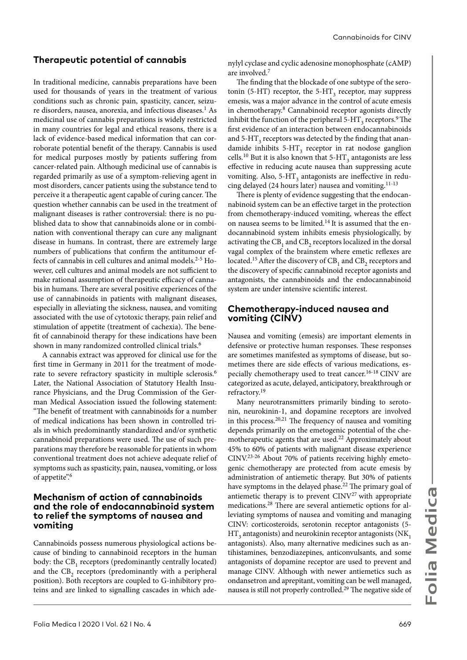#### **Therapeutic potential of cannabis**

In traditional medicine, cannabis preparations have been used for thousands of years in the treatment of various conditions such as chronic pain, spasticity, cancer, seizure disorders, nausea, anorexia, and infectious diseases.<sup>1</sup> As medicinal use of cannabis preparations is widely restricted in many countries for legal and ethical reasons, there is a lack of evidence-based medical information that can corroborate potential benefit of the therapy. Cannabis is used for medical purposes mostly by patients suffering from cancer-related pain. Although medicinal use of cannabis is regarded primarily as use of a symptom-relieving agent in most disorders, cancer patients using the substance tend to perceive it a therapeutic agent capable of curing cancer. The question whether cannabis can be used in the treatment of malignant diseases is rather controversial: there is no published data to show that cannabinoids alone or in combination with conventional therapy can cure any malignant disease in humans. In contrast, there are extremely large numbers of publications that confirm the antitumour effects of cannabis in cell cultures and animal models.<sup>2-5</sup> However, cell cultures and animal models are not sufficient to make rational assumption of therapeutic efficacy of cannabis in humans. There are several positive experiences of the use of cannabinoids in patients with malignant diseases, especially in alleviating the sickness, nausea, and vomiting associated with the use of cytotoxic therapy, pain relief and stimulation of appetite (treatment of cachexia). The benefit of cannabinoid therapy for these indications have been shown in many randomized controlled clinical trials.<sup>6</sup>

A cannabis extract was approved for clinical use for the first time in Germany in 2011 for the treatment of moderate to severe refractory spasticity in multiple sclerosis.6 Later, the National Association of Statutory Health Insurance Physicians, and the Drug Commission of the German Medical Association issued the following statement: "The benefit of treatment with cannabinoids for a number of medical indications has been shown in controlled trials in which predominantly standardized and/or synthetic cannabinoid preparations were used. The use of such preparations may therefore be reasonable for patients in whom conventional treatment does not achieve adequate relief of symptoms such as spasticity, pain, nausea, vomiting, or loss of appetite".<sup>6</sup>

#### **Mechanism of action of cannabinoids and the role of endocannabinoid system to relief the symptoms of nausea and vomiting**

Cannabinoids possess numerous physiological actions because of binding to cannabinoid receptors in the human body: the CB<sub>1</sub> receptors (predominantly centrally located) and the  $CB$ <sub>2</sub> receptors (predominantly with a peripheral position). Both receptors are coupled to G-inhibitory proteins and are linked to signalling cascades in which adenylyl cyclase and cyclic adenosine monophosphate (cAMP) are involved.<sup>7</sup>

The finding that the blockade of one subtype of the serotonin (5-HT) receptor, the 5-HT<sub>3</sub> receptor, may suppress emesis, was a major advance in the control of acute emesis in chemotherapy.8 Cannabinoid receptor agonists directly inhibit the function of the peripheral 5-HT<sub>3</sub> receptors.<sup>9</sup> The first evidence of an interaction between endocannabinoids and  $5$ -HT<sub>3</sub> receptors was detected by the finding that anandamide inhibits  $5-HT_3$  receptor in rat nodose ganglion cells.<sup>10</sup> But it is also known that 5-HT<sub>3</sub> antagonists are less effective in reducing acute nausea than suppressing acute vomiting. Also, 5-HT<sub>3</sub> antagonists are ineffective in reducing delayed (24 hours later) nausea and vomiting.11-13

There is plenty of evidence suggesting that the endocannabinoid system can be an effective target in the protection from chemotherapy-induced vomiting, whereas the effect on nausea seems to be limited.14 It is assumed that the endocannabinoid system inhibits emesis physiologically, by activating the  $CB_1$  and  $CB_2$  receptors localized in the dorsal vagal complex of the brainstem where emetic reflexes are located.<sup>15</sup> After the discovery of  $CB_1$  and  $CB_2$  receptors and the discovery of specific cannabinoid receptor agonists and antagonists, the cannabinoids and the endocannabinoid system are under intensive scientific interest.

#### **Chemotherapy-induced nausea and vomiting (CINV)**

Nausea and vomiting (emesis) are important elements in defensive or protective human responses. These responses are sometimes manifested as symptoms of disease, but sometimes there are side effects of various medications, especially chemotherapy used to treat cancer.16-18 CINV are categorized as acute, delayed, anticipatory, breakthrough or refractory.<sup>19</sup>

Мany neurotransmitters primarily binding to serotonin, neurokinin-1, and dopamine receptors are involved in this process.20,21 The frequency of nausea and vomiting depends primarily on the emetogenic potential of the chemotherapeutic agents that are used.<sup>22</sup> Approximately about 45% to 60% of patients with malignant disease experience CINV.23-26 About 70% of patients receiving highly emetogenic chemotherapy are protected from acute emesis by administration of antiemetic therapy. But 30% of patients have symptoms in the delayed phase.<sup>22</sup> The primary goal of antiemetic therapy is to prevent  $CINV<sup>27</sup>$  with appropriate medications.28 There are several antiemetic options for alleviating symptoms of nausea and vomiting and managing CINV: corticosteroids, serotonin receptor antagonists (5-  $\mathrm{HT}_3$  antagonists) and neurokinin receptor antagonists (NK  $\mathrm{_{1}}$ antagonists). Also, many alternative medicines such as antihistamines, benzodiazepines, anticonvulsants, and some antagonists of dopamine receptor are used to prevent and manage CINV. Although with newer antiemetics such as ondansetron and aprepitant, vomiting can be well managed, nausea is still not properly controlled.29 The negative side of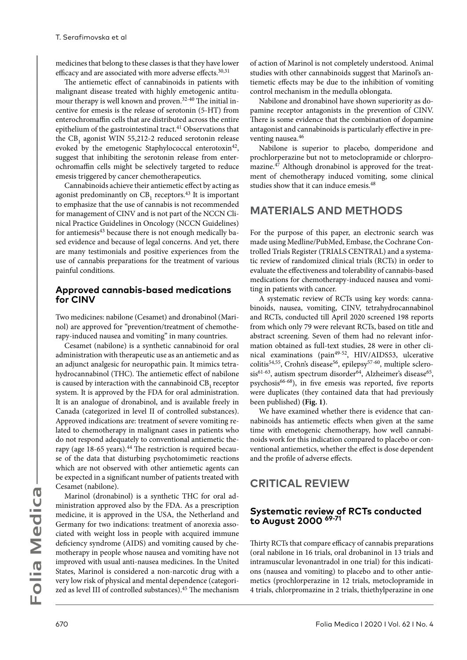medicines that belong to these classes is that they have lower efficacy and are associated with more adverse effects.<sup>30,31</sup>

The antiemetic effect of cannabinoids in patients with malignant disease treated with highly emetogenic antitumour therapy is well known and proven.<sup>32-40</sup> The initial incentive for emesis is the release of serotonin (5-HT) from enterochromaffin cells that are distributed across the entire epithelium of the gastrointestinal tract.<sup>41</sup> Observations that the  $CB_1$  agonist WIN 55,212-2 reduced serotonin release evoked by the emetogenic Staphylococcal enterotoxin<sup>42</sup>, suggest that inhibiting the serotonin release from enterochromaffin cells might be selectively targeted to reduce emesis triggered by cancer chemotherapeutics.

Cannabinoids achieve their antiemetic effect by acting as agonist predominantly on  $CB_1$  receptors.<sup>43</sup> It is important to emphasize that the use of cannabis is not recommended for management of CINV and is not part of the NCCN Clinical Practice Guidelines in Oncology (NCCN Guidelines) for antiemesis<sup>43</sup> because there is not enough medically based evidence and because of legal concerns. And yet, there are many testimonials and positive experiences from the use of cannabis preparations for the treatment of various painful conditions.

#### **Approved cannabis-based medications for CINV**

Two medicines: nabilone (Cesamet) and dronabinol (Marinol) are approved for "prevention/treatment of chemotherapy-induced nausea and vomiting" in many countries.

Cesamet (nabilone) is a synthetic cannabinoid for oral administration with therapeutic use as an antiemetic and as an adjunct analgesic for neuropathic pain. It mimics tetrahydrocannabinol (THC). The antiemetic effect of nabilone is caused by interaction with the cannabinoid  $CB_1$  receptor system. It is approved by the FDA for oral administration. It is an analogue of dronabinol, and is available freely in Canada (categorized in level II of controlled substances). Approved indications are: treatment of severe vomiting related to chemotherapy in malignant cases in patients who do not respond adequately to conventional antiemetic therapy (age 18-65 years).<sup>44</sup> The restriction is required because of the data that disturbing psychotomimetic reactions which are not observed with other antiemetic agents can be expected in a significant number of patients treated with Cesamet (nabilone).

Marinol (dronabinol) is a synthetic THC for oral administration approved also by the FDA. As a prescription medicine, it is approved in the USA, the Netherland and Germany for two indications: treatment of anorexia associated with weight loss in people with acquired immune deficiency syndrome (AIDS) and vomiting caused by chemotherapy in people whose nausea and vomiting have not improved with usual anti-nausea medicines. In the United States, Marinol is considered a non-narcotic drug with a very low risk of physical and mental dependence (categorized as level III of controlled substances).<sup>45</sup> The mechanism

of action of Marinol is not completely understood. Animal studies with other cannabinoids suggest that Marinol's antiemetic effects may be due to the inhibition of vomiting control mechanism in the medulla oblongata.

Nabilone and dronabinol have shown superiority as dopamine receptor antagonists in the prevention of CINV. There is some evidence that the combination of dopamine antagonist and cannabinoids is particularly effective in preventing nausea.<sup>46</sup>

Nabilone is superior to placebo, domperidone and prochlorperazine but not to metoclopramide or chlorpromazine.47 Although dronabinol is approved for the treatment of chemotherapy induced vomiting, some clinical studies show that it can induce emesis.<sup>48</sup>

### **MATERIALS AND METHODS**

For the purpose of this paper, an electronic search was made using Medline/PubMed, Embase, the Cochrane Controlled Trials Register (TRIALS CENTRAL) and a systematic review of randomized clinical trials (RCTs) in order to evaluate the effectiveness and tolerability of cannabis-based medications for chemotherapy-induced nausea and vomiting in patients with cancer.

A systematic review of RCTs using key words: cannabinoids, nausea, vomiting, CINV, tetrahydrocannabinol and RCTs, conducted till April 2020 screened 198 reports from which only 79 were relevant RCTs, based on title and abstract screening. Seven of them had no relevant information obtained as full-text studies, 28 were in other clinical examinations (pain49-52, HIV/AIDS53, ulcerative colitis<sup>54,55</sup>, Crohn's disease<sup>56</sup>, epilepsy<sup>57-60</sup>, multiple sclerosis<sup>61-63</sup>, autism spectrum disorder<sup>64</sup>, Alzheimer's disease<sup>65</sup>, psychosis66-68), in five emesis was reported, five reports were duplicates (they contained data that had previously been published) **(Fig. 1)**.

We have examined whether there is evidence that cannabinoids has antiemetic effects when given at the same time with emetogenic chemotherapy, how well cannabinoids work for this indication compared to placebo or conventional antiemetics, whether the effect is dose dependent and the profile of adverse effects.

### **CRITICAL REVIEW**

#### **Systematic review of RCTs conducted to August 2000 69-71**

Thirty RCTs that compare efficacy of cannabis preparations (oral nabilone in 16 trials, oral drobaninol in 13 trials and intramuscular levonantradol in one trial) for this indications (nausea and vomiting) to placebo and to other antiemetics (prochlorperazine in 12 trials, metoclopramide in 4 trials, chlorpromazine in 2 trials, thiethylperazine in one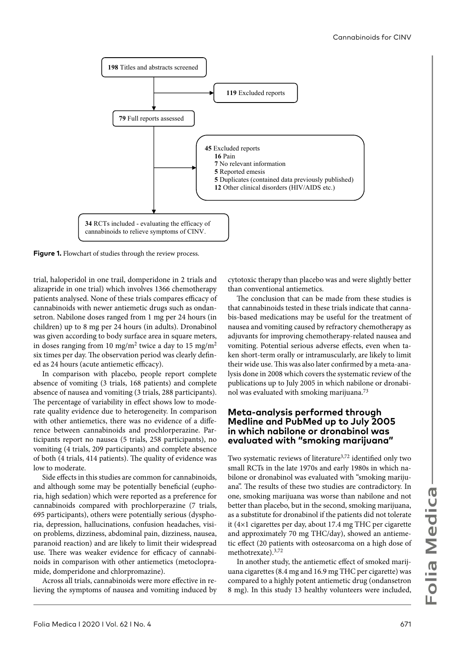

Figure 1. Flowchart of studies through the review process.

trial, haloperidol in one trail, domperidone in 2 trials and alizapride in one trial) which involves 1366 chemotherapy patients analysed. None of these trials compares efficacy of cannabinoids with newer antiemetic drugs such as ondansetron. Nabilone doses ranged from 1 mg per 24 hours (in children) up to 8 mg per 24 hours (in adults). Dronabinol was given according to body surface area in square meters, in doses ranging from 10 mg/m<sup>2</sup> twice a day to 15 mg/m<sup>2</sup> six times per day. The observation period was clearly defined as 24 hours (acute antiemetic efficacy).

In comparison with placebo, people report complete absence of vomiting (3 trials, 168 patients) and complete absence of nausea and vomiting (3 trials, 288 participants). The percentage of variability in effect shows low to moderate quality evidence due to heterogeneity. In comparison with other antiemetics, there was no evidence of a difference between cannabinoids and prochlorperazine. Participants report no nausea (5 trials, 258 participants), no vomiting (4 trials, 209 participants) and complete absence of both (4 trials, 414 patients). The quality of evidence was low to moderate.

Side effects in this studies are common for cannabinoids, and although some may be potentially beneficial (euphoria, high sedation) which were reported as a preference for cannabinoids compared with prochlorperazine (7 trials, 695 participants), others were potentially serious (dysphoria, depression, hallucinations, confusion headaches, vision problems, dizziness, abdominal pain, dizziness, nausea, paranoid reaction) and are likely to limit their widespread use. There was weaker evidence for efficacy of cannabinoids in comparison with other antiemetics (metoclopramide, domperidone and chlorpromazine).

Across all trials, cannabinoids were more effective in relieving the symptoms of nausea and vomiting induced by

cytotoxic therapy than placebo was and were slightly better than conventional antiemetics.

The conclusion that can be made from these studies is that cannabinoids tested in these trials indicate that cannabis-based medications may be useful for the treatment of nausea and vomiting caused by refractory chemotherapy as adjuvants for improving chemotherapy-related nausea and vomiting. Potential serious adverse effects, even when taken short-term orally or intramuscularly, are likely to limit their wide use. This was also later confirmed by a meta-analysis done in 2008 which covers the systematic review of the publications up to July 2005 in which nabilone or dronabinol was evaluated with smoking marijuana.<sup>73</sup>

#### **Meta-analysis performed through Medline and PubMed up to July 2005 in which nabilone or dronabinol was evaluated with "smoking marijuana"**

Two systematic reviews of literature<sup>3,72</sup> identified only two small RCTs in the late 1970s and early 1980s in which nabilone or dronabinol was evaluated with "smoking marijuana". The results of these two studies are contradictory. In one, smoking marijuana was worse than nabilone and not better than placebo, but in the second, smoking marijuana, as a substitute for dronabinol if the patients did not tolerate it (4×1 cigarettes per day, about 17.4 mg THC per cigarette and approximately 70 mg THC/day), showed an antiemetic effect (20 patients with osteosarcoma on a high dose of methotrexate).3,72

In another study, the antiemetic effect of smoked marijuana cigarettes (8.4 mg and 16.9 mg THC per cigarette) was compared to a highly potent antiemetic drug (ondansetron 8 mg). In this study 13 healthy volunteers were included,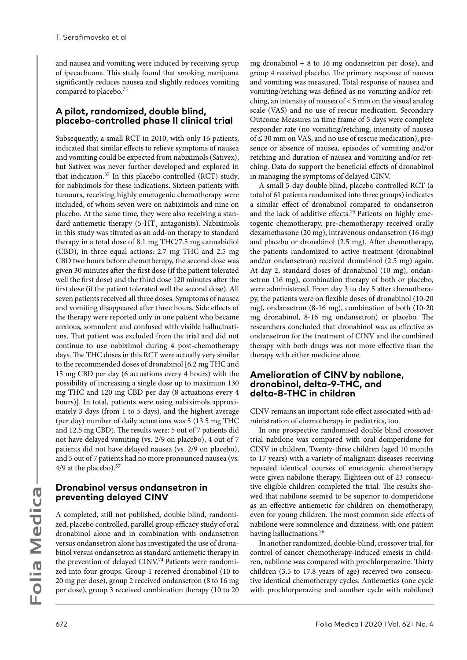and nausea and vomiting were induced by receiving syrup of ipecachuana. This study found that smoking marijuana significantly reduces nausea and slightly reduces vomiting compared to placebo.73

#### **A pilot, randomized, double blind, placebo-controlled phase II clinical trial**

Subsequently, a small RCT in 2010, with only 16 patients, indicated that similar effects to relieve symptoms of nausea and vomiting could be expected from nabiximols (Sativex), but Sativex was never further developed and explored in that indication.37 In this placebo controlled (RCT) study, for nabiximols for these indications. Sixteen patients with tumours, receiving highly emetogenic chemotherapy were included, of whom seven were on nabiximols and nine on placebo. At the same time, they were also receiving a standard antiemetic therapy  $(5-HT<sub>3</sub>$  antagonists). Nabiximols in this study was titrated as an add-on therapy to standard therapy in a total dose of 8.1 mg THC/7.5 mg cannabidiol (CBD), in three equal actions: 2.7 mg THC and 2.5 mg CBD two hours before chemotherapy, the second dose was given 30 minutes after the first dose (if the patient tolerated well the first dose) and the third dose 120 minutes after the first dose (if the patient tolerated well the second dose). All seven patients received all three doses. Symptoms of nausea and vomiting disappeared after three hours. Side effects of the therapy were reported only in one patient who became anxious, somnolent and confused with visible hallucinations. That patient was excluded from the trial and did not continue to use nabiximol during 4 post-chemotherapy days. The THC doses in this RCT were actually very similar to the recommended doses of dronabinol [6.2 mg THC and 15 mg CBD per day (6 actuations every 4 hours) with the possibility of increasing a single dose up to maximum 130 mg THC and 120 mg CBD per day (8 actuations every 4 hours)]. In total, patients were using nabiximols approximately 3 days (from 1 to 5 days), and the highest average (per day) number of daily actuations was 5 (13.5 mg THC and 12.5 mg CBD). The results were: 5 out of 7 patients did not have delayed vomiting (vs. 2/9 on placebo), 4 out of 7 patients did not have delayed nausea (vs. 2/9 on placebo), and 5 out of 7 patients had no more pronounced nausea (vs. 4/9 at the placebo).<sup>37</sup>

#### **Dronabinol versus ondansetron in preventing delayed CINV**

A completed, still not published, double blind, randomized, placebo controlled, parallel group efficacy study of oral dronabinol alone and in combination with ondansetron versus ondansetron alone has investigated the use of dronabinol versus ondansetron as standard antiemetic therapy in the prevention of delayed CINV.74 Patients were randomized into four groups. Group 1 received dronabinol (10 to 20 mg per dose), group 2 received ondansetron (8 to 16 mg per dose), group 3 received combination therapy (10 to 20 mg dronabinol + 8 to 16 mg ondansetron per dose), and group 4 received placebo. The primary response of nausea and vomiting was measured. Total response of nausea and vomiting/retching was defined as no vomiting and/or retching, an intensity of nausea of < 5 mm on the visual analog scale (VAS) and no use of rescue medication. Secondary Outcome Measures in time frame of 5 days were complete responder rate (no vomiting/retching, intensity of nausea of ≤ 30 mm on VAS, and no use of rescue medication), presence or absence of nausea, episodes of vomiting and/or retching and duration of nausea and vomiting and/or retching. Data do support the beneficial effects of dronabinol in managing the symptoms of delayed CINV.

A small 5-day double blind, placebo controlled RCT (a total of 61 patients randomized into three groups) indicates a similar effect of dronabinol compared to ondansetron and the lack of additive effects.<sup>75</sup> Patients on highly emetogenic chemotherapy, pre-chemotherapy received orally dexamethasone (20 mg), intravenous ondansetron (16 mg) and placebo or dronabinol (2.5 mg). After chemotherapy, the patients randomized to active treatment (dronabinol and/or ondansetron) received dronabinol (2.5 mg) again. At day 2, standard doses of dronabinol (10 mg), ondansetron (16 mg), combination therapy of both or placebo, were administered. From day 3 to day 5 after chemotherapy, the patients were on flexible doses of dronabinol (10-20 mg), ondansetron (8-16 mg), combination of both (10-20 mg dronabinol, 8-16 mg ondansetron) or placebo. The researchers concluded that dronabinol was as effective as ondansetron for the treatment of CINV and the combined therapy with both drugs was not more effective than the therapy with either medicine alone.

#### **Amelioration of CINV by nabilone, dronabinol, delta-9-THC, and delta-8-THC in children**

CINV remains an important side effect associated with administration of chemotherapy in pediatrics, too.

In one prospective randomised double blind crossover trial nabilone was compared with oral domperidone for CINV in children. Twenty-three children (aged 10 months to 17 years) with a variety of malignant diseases receiving repeated identical courses of emetogenic chemotherapy were given nabilone therapy. Eighteen out of 23 consecutive eligible children completed the trial. The results showed that nabilone seemed to be superior to domperidone as an effective antiemetic for children on chemotherapy, even for young children. The most common side effects of nabilone were somnolence and dizziness, with one patient having hallucinations.76

In another randomized, double-blind, crossover trial, for control of cancer chemotherapy-induced emesis in children, nabilone was compared with prochlorperazine. Thirty children (3.5 to 17.8 years of age) received two consecutive identical chemotherapy cycles. Antiemetics (one cycle with prochlorperazine and another cycle with nabilone)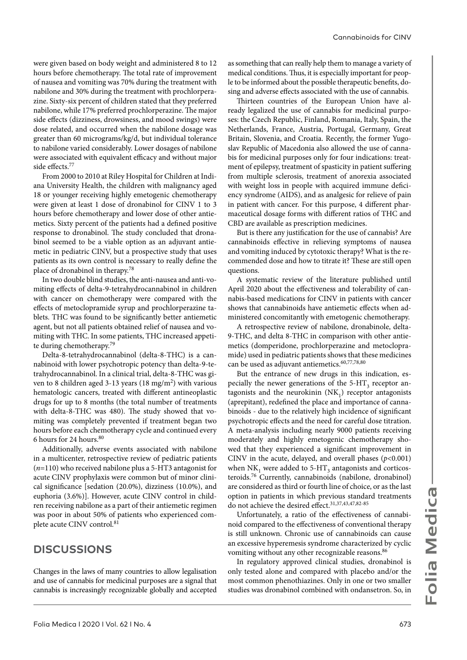were given based on body weight and administered 8 to 12 hours before chemotherapy. The total rate of improvement of nausea and vomiting was 70% during the treatment with nabilone and 30% during the treatment with prochlorperazine. Sixty-six percent of children stated that they preferred nabilone, while 17% preferred prochlorperazine. The major side effects (dizziness, drowsiness, and mood swings) were dose related, and occurred when the nabilone dosage was greater than 60 micrograms/kg/d, but individual tolerance to nabilone varied considerably. Lower dosages of nabilone were associated with equivalent efficacy and without major side effects.77

From 2000 to 2010 at Riley Hospital for Children at Indiana University Health, the children with malignancy aged 18 or younger receiving highly emetogenic chemotherapy were given at least 1 dose of dronabinol for CINV 1 to 3 hours before chemotherapy and lower dose of other antiemetics. Sixty percent of the patients had a defined positive response to dronabinol. The study concluded that dronabinol seemed to be a viable option as an adjuvant antiemetic in pediatric CINV, but a prospective study that uses patients as its own control is necessary to really define the place of dronabinol in therapy.<sup>78</sup>

In two double blind studies, the anti-nausea and anti-vomiting effects of delta-9-tetrahydrocannabinol in children with cancer on chemotherapy were compared with the effects of metoclopramide syrup and prochlorperazine tablets. THC was found to be significantly better antiemetic agent, but not all patients obtained relief of nausea and vomiting with THC. In some patients, THC increased appetite during chemotherapy.<sup>79</sup>

Delta-8-tetrahydrocannabinol (delta-8-THC) is a cannabinoid with lower psychotropic potency than delta-9-tetrahydrocannabinol. In a clinical trial, delta-8-THC was given to 8 children aged 3-13 years (18 mg/m<sup>2</sup>) with various hematologic cancers, treated with different antineoplastic drugs for up to 8 months (the total number of treatments with delta-8-THC was 480). The study showed that vomiting was completely prevented if treatment began two hours before each chemotherapy cycle and continued every 6 hours for 24 hours.<sup>80</sup>

Additionally, adverse events associated with nabilone in a multicenter, retrospective review of pediatric patients (*n*=110) who received nabilone plus a 5-HT3 antagonist for acute CINV prophylaxis were common but of minor clinical significance [sedation (20.0%), dizziness (10.0%), and euphoria (3.6%)]. However, acute CINV control in children receiving nabilone as a part of their antiemetic regimen was poor in about 50% of patients who experienced complete acute CINV control.<sup>81</sup>

### **DISCUSSIONS**

Changes in the laws of many countries to allow legalisation and use of cannabis for medicinal purposes are a signal that cannabis is increasingly recognizable globally and accepted

as something that can really help them to manage a variety of medical conditions. Thus, it is especially important for people to be informed about the possible therapeutic benefits, dosing and adverse effects associated with the use of cannabis.

Thirteen countries of the European Union have already legalized the use of cannabis for medicinal purposes: the Czech Republic, Finland, Romania, Italy, Spain, the Netherlands, France, Austria, Portugal, Germany, Great Britain, Slovenia, and Croatia. Recently, the former Yugoslav Republic of Macedonia also allowed the use of cannabis for medicinal purposes only for four indications: treatment of epilepsy, treatment of spasticity in patient suffering from multiple sclerosis, treatment of anorexia associated with weight loss in people with acquired immune deficiency syndrome (AIDS), and as analgesic for relieve of pain in patient with cancer. For this purpose, 4 different pharmaceutical dosage forms with different ratios of THC and CBD are available as prescription medicines.

But is there any justification for the use of cannabis? Are cannabinoids effective in relieving symptoms of nausea and vomiting induced by cytotoxic therapy? What is the recommended dose and how to titrate it? These are still open questions.

A systematic review of the literature published until April 2020 about the effectiveness and tolerability of cannabis-based medications for CINV in patients with cancer shows that cannabinoids have antiemetic effects when administered concomitantly with emetogenic chemotherapy.

A retrospective review of nabilone, dronabinole, delta-9-THC, and delta 8-THC in comparison with other antiemetics (domperidone, prochlorperazine and metoclopramide) used in pediatric patients shows that these medicines can be used as adjuvant antiemetics.<sup>60,77,78,80</sup>

But the entrance of new drugs in this indication, especially the newer generations of the  $5-HT<sub>3</sub>$  receptor antagonists and the neurokinin  $(NK_1)$  receptor antagonists (aprepitant), redefined the place and importance of cannabinoids - due to the relatively high incidence of significant psychotropic effects and the need for careful dose titration. A meta-analysis including nearly 9000 patients receiving moderately and highly emetogenic chemotherapy showed that they experienced a significant improvement in CINV in the acute, delayed, and overall phases  $(p<0.001)$ when NK<sub>1</sub> were added to 5-HT<sub>2</sub> antagonists and corticosteroids.76 Currently, cannabinoids (nabilone, dronabinol) are considered as third or fourth line of choice, or as the last option in patients in which previous standard treatments do not achieve the desired effect.<sup>31,37,43,47,82-85</sup>

Unfortunately, a ratio of the effectiveness of cannabinoid compared to the effectiveness of conventional therapy is still unknown. Chronic use of cannabinoids can cause an excessive hyperemesis syndrome characterized by cyclic vomiting without any other recognizable reasons.<sup>86</sup>

In regulatory approved clinical studies, dronabinol is only tested alone and compared with placebo and/or the most common phenothiazines. Only in one or two smaller studies was dronabinol combined with ondansetron. So, in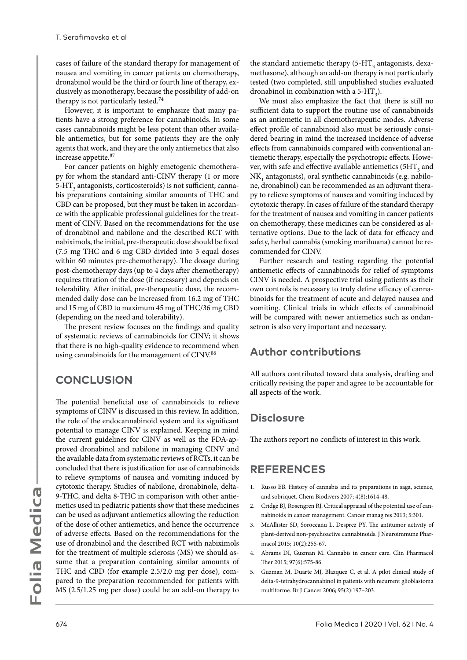cases of failure of the standard therapy for management of nausea and vomiting in cancer patients on chemotherapy, dronabinol would be the third or fourth line of therapy, exclusively as monotherapy, because the possibility of add-on therapy is not particularly tested.<sup>74</sup>

However, it is important to emphasize that many patients have a strong preference for cannabinoids. In some cases cannabinoids might be less potent than other available antiemetics, but for some patients they are the only agents that work, and they are the only antiemetics that also increase appetite.<sup>87</sup>

For cancer patients on highly emetogenic chemotherapy for whom the standard anti-CINV therapy (1 or more 5-HT<sub>2</sub> antagonists, corticosteroids) is not sufficient, cannabis preparations containing similar amounts of THC and CBD can be proposed, but they must be taken in accordance with the applicable professional guidelines for the treatment of CINV. Based on the recommendations for the use of dronabinol and nabilone and the described RCT with nabiximols, the initial, pre-therapeutic dose should be fixed (7.5 mg THC and 6 mg CBD divided into 3 equal doses within 60 minutes pre-chemotherapy). The dosage during post-chemotherapy days (up to 4 days after chemotherapy) requires titration of the dose (if necessary) and depends on tolerability. After initial, pre-therapeutic dose, the recommended daily dose can be increased from 16.2 mg of THC and 15 mg of CBD to maximum 45 mg of THC/36 mg CBD (depending on the need and tolerability).

The present review focuses on the findings and quality of systematic reviews of cannabinoids for CINV; it shows that there is no high-quality evidence to recommend when using cannabinoids for the management of CINV.<sup>86</sup>

### **CONCLUSION**

The potential beneficial use of cannabinoids to relieve symptoms of CINV is discussed in this review. In addition, the role of the endocannabinoid system and its significant potential to manage CINV is explained. Keeping in mind the current guidelines for CINV as well as the FDA-approved dronabinol and nabilone in managing CINV and the available data from systematic reviews of RCTs, it can be concluded that there is justification for use of cannabinoids to relieve symptoms of nausea and vomiting induced by cytotoxic therapy. Studies of nabilone, dronabinole, delta-9-THC, and delta 8-THC in comparison with other antiemetics used in pediatric patients show that these medicines can be used as adjuvant antiemetics allowing the reduction of the dose of other antiemetics, and hence the occurrence of adverse effects. Based on the recommendations for the use of dronabinol and the described RCT with nabiximols for the treatment of multiple sclerosis (MS) we should assume that a preparation containing similar amounts of THC and CBD (for example 2.5/2.0 mg per dose), compared to the preparation recommended for patients with MS (2.5/1.25 mg per dose) could be an add-on therapy to

the standard antiemetic therapy  $(5-HT<sub>2</sub>$  antagonists, dexamethasone), although an add-on therapy is not particularly tested (two completed, still unpublished studies evaluated dronabinol in combination with a  $5-HT<sub>3</sub>$ ).

We must also emphasize the fact that there is still no sufficient data to support the routine use of cannabinoids as an antiemetic in all chemotherapeutic modes. Adverse effect profile of cannabinoid also must be seriously considered bearing in mind the increased incidence of adverse effects from cannabinoids compared with conventional antiemetic therapy, especially the psychotropic effects. However, with safe and effective available antiemetics ( $5HT<sub>3</sub>$  and NK<sub>1</sub> antagonists), oral synthetic cannabinoids (e.g. nabilone, dronabinol) can be recommended as an adjuvant therapy to relieve symptoms of nausea and vomiting induced by cytotoxic therapy. In cases of failure of the standard therapy for the treatment of nausea and vomiting in cancer patients on chemotherapy, these medicines can be considered as alternative options. Due to the lack of data for efficacy and safety, herbal cannabis (smoking marihuana) cannot be recommended for CINV.

Further research and testing regarding the potential antiemetic effects of cannabinoids for relief of symptoms CINV is needed. A prospective trial using patients as their own controls is necessary to truly define efficacy of cannabinoids for the treatment of acute and delayed nausea and vomiting. Clinical trials in which effects of cannabinoid will be compared with newer antiemetics such as ondansetron is also very important and necessary.

### **Author contributions**

All authors contributed toward data analysis, drafting and critically revising the paper and agree to be accountable for all aspects of the work.

### **Disclosure**

The authors report no conflicts of interest in this work.

### **REFERENCES**

- 1. Russo EB. History of cannabis and its preparations in saga, science, and sobriquet. Chem Biodivers 2007; 4(8):1614-48.
- 2. Cridge BJ, Rosengren RJ. Critical appraisal of the potential use of cannabinoids in cancer management. Cancer manag res 2013; 5:301.
- 3. McAllister SD, Soroceanu L, Desprez PY. The antitumor activity of plant-derived non-psychoactive cannabinoids. J Neuroimmune Pharmacol 2015; 10(2):255-67.
- 4. Abrams DI, Guzman M. Cannabis in cancer care. Clin Pharmacol Ther 2015; 97(6):575-86.
- 5. Guzman M, Duarte MJ, Blazquez C, et al. A pilot clinical study of delta-9-tetrahydrocannabinol in patients with recurrent glioblastoma multiforme. Br J Cancer 2006; 95(2):197–203.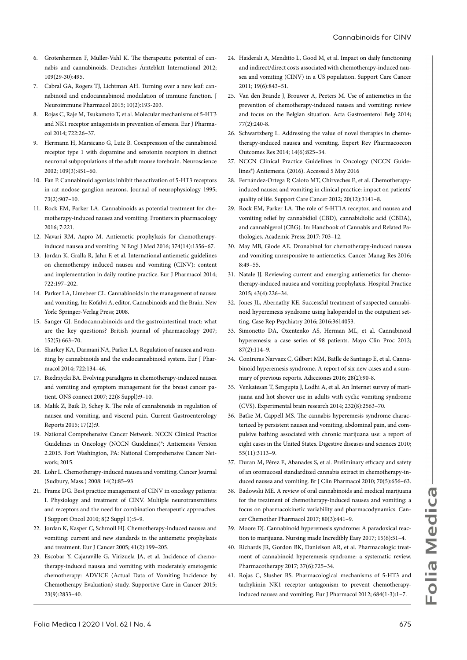- 6. Grotenhermen F, Müller-Vahl K. The therapeutic potential of cannabis and cannabinoids. Deutsches Ärzteblatt International 2012; 109(29-30):495.
- 7. Cabral GA, Rogers TJ, Lichtman AH. Turning over a new leaf: cannabinoid and endocannabinoid modulation of immune function. J Neuroimmune Pharmacol 2015; 10(2):193-203.
- 8. Rojas C, Raje M, Tsukamoto T, et al. Molecular mechanisms of 5-HT3 and NK1 receptor antagonists in prevention of emesis. Eur J Pharmacol 2014; 722:26–37.
- 9. Hermann H, Marsicano G, Lutz B. Coexpression of the cannabinoid receptor type 1 with dopamine and serotonin receptors in distinct neuronal subpopulations of the adult mouse forebrain. Neuroscience  $2002: 109(3): 451-60.$
- 10. Fan P. Cannabinoid agonists inhibit the activation of 5-HT3 receptors in rat nodose ganglion neurons. Journal of neurophysiology 1995; 73(2):907–10.
- 11. Rock EM, Parker LA. Cannabinoids as potential treatment for chemotherapy-induced nausea and vomiting. Frontiers in pharmacology 2016; 7:221.
- 12. Navari RM, Aapro M. Antiemetic prophylaxis for chemotherapyinduced nausea and vomiting. N Engl J Med 2016; 374(14):1356–67.
- 13. Jordan K, Gralla R, Jahn F, et al. International antiemetic guidelines on chemotherapy induced nausea and vomiting (CINV): content and implementation in daily routine practice. Eur J Pharmacol 2014; 722:197–202.
- 14. Parker LA, Limebeer CL. Cannabinoids in the management of nausea and vomiting. In: Kofalvi A, editor. Cannabinoids and the Brain. New York: Springer-Verlag Press; 2008.
- 15. Sanger GJ. Endocannabinoids and the gastrointestinal tract: what are the key questions? British journal of pharmacology 2007; 152(5):663–70.
- 16. Sharkey KA, Darmani NA, Parker LA. Regulation of nausea and vomiting by cannabinoids and the endocannabinoid system. Eur J Pharmacol 2014; 722:134–46.
- 17. Biedrzycki BA. Evolving paradigms in chemotherapy-induced nausea and vomiting and symptom management for the breast cancer patient. ONS connect 2007; 22(8 Suppl):9–10.
- 18. Malik Z, Baik D, Schey R. The role of cannabinoids in regulation of nausea and vomiting, and visceral pain. Current Gastroenterology Reports 2015; 17(2):9.
- 19. National Comprehensive Cancer Network. NCCN Clinical Practice Guidelines in Oncology (NCCN Guidelines)®: Antiemesis Version 2.2015. Fort Washington, PA: National Comprehensive Cancer Network; 2015.
- 20. Lohr L. Chemotherapy-induced nausea and vomiting. Cancer Journal (Sudbury, Mass.) 2008: 14(2):85–93
- 21. Frame DG. Best practice management of CINV in oncology patients: I. Physiology and treatment of CINV. Multiple neurotransmitters and receptors and the need for combination therapeutic approaches. J Support Oncol 2010; 8(2 Suppl 1):5–9.
- 22. Jordan K, Kasper C, Schmoll HJ. Chemotherapy-induced nausea and vomiting: current and new standards in the antiemetic prophylaxis and treatment. Eur J Cancer 2005; 41(2):199–205.
- 23. Escobar Y, Cajaraville G, Virizuela JA, et al. Incidence of chemotherapy-induced nausea and vomiting with moderately emetogenic chemotherapy: ADVICE (Actual Data of Vomiting Incidence by Chemotherapy Evaluation) study. Supportive Care in Cancer 2015; 23(9):2833–40.
- 24. Haiderali A, Menditto L, Good M, et al. Impact on daily functioning and indirect/direct costs associated with chemotherapy-induced nausea and vomiting (CINV) in a US population. Support Care Cancer 2011; 19(6):843–51.
- 25. Van den Brande J, Brouwer A, Peeters M. Use of antiemetics in the prevention of chemotherapy-induced nausea and vomiting: review and focus on the Belgian situation. Acta Gastroenterol Belg 2014;  $77(2):240-8$ .
- 26. Schwartzberg L. Addressing the value of novel therapies in chemotherapy-induced nausea and vomiting. Expert Rev Pharmacoecon Outcomes Res 2014; 14(6):825–34.
- 27. NCCN Clinical Practice Guidelines in Oncology (NCCN Guidelines®) Antiemesis. (2016). Accessed 5 May 2016
- 28. Fernández-Ortega P, Caloto MT, Chirveches E, et al. Chemotherapyinduced nausea and vomiting in clinical practice: impact on patients' quality of life. Support Care Cancer 2012; 20(12):3141–8.
- 29. Rock EM, Parker LA. The role of 5-HT1A receptor, and nausea and vomiting relief by cannabidiol (CBD), cannabidiolic acid (CBDA), and cannabigerol (CBG). In: Handbook of Cannabis and Related Pathologies. Academic Press; 2017: 703–12.
- 30. May MB, Glode AE. Dronabinol for chemotherapy-induced nausea and vomiting unresponsive to antiemetics. Cancer Manag Res 2016; 8:49–55.
- 31. Natale JJ. Reviewing current and emerging antiemetics for chemotherapy-induced nausea and vomiting prophylaxis. Hospital Practice 2015; 43(4):226–34.
- 32. Jones JL, Abernathy KE. Successful treatment of suspected cannabinoid hyperemesis syndrome using haloperidol in the outpatient setting. Case Rep Psychiatry 2016; 2016:3614053.
- 33. Simonetto DA, Oxentenko AS, Herman ML, et al. Cannabinoid hyperemesis: a case series of 98 patients. Mayo Clin Proc 2012;  $87(2):114-9$ .
- 34. Contreras Narvaez C, Gilbert MM, Batlle de Santiago E, et al. Cannabinoid hyperemesis syndrome. A report of six new cases and a summary of previous reports. Adicciones 2016; 28(2):90-8.
- 35. Venkatesan T, Sengupta J, Lodhi A, et al. An Internet survey of marijuana and hot shower use in adults with cyclic vomiting syndrome (CVS). Experimental brain research 2014; 232(8):2563–70.
- 36. Batke M, Cappell MS. The cannabis hyperemesis syndrome characterized by persistent nausea and vomiting, abdominal pain, and compulsive bathing associated with chronic marijuana use: a report of eight cases in the United States. Digestive diseases and sciences 2010; 55(11):3113–9.
- 37. Duran M, Pérez E, Abanades S, et al. Preliminary efficacy and safety of an oromucosal standardized cannabis extract in chemotherapy‐induced nausea and vomiting. Br J Clin Pharmacol 2010; 70(5):656–63.
- 38. Badowski ME. A review of oral cannabinoids and medical marijuana for the treatment of chemotherapy-induced nausea and vomiting: a focus on pharmacokinetic variability and pharmacodynamics. Cancer Chemother Pharmacol 2017; 80(3):441–9.
- 39. Moore DJ. Cannabinoid hyperemesis syndrome: A paradoxical reaction to marijuana. Nursing made Incredibly Easy 2017; 15(6):51–4.
- 40. Richards JR, Gordon BK, Danielson AR, et al. Pharmacologic treatment of cannabinoid hyperemesis syndrome: a systematic review. Pharmacotherapy 2017; 37(6):725–34.
- 41. Rojas C, Slusher BS. Pharmacological mechanisms of 5-HT3 and tachykinin NK1 receptor antagonism to prevent chemotherapyinduced nausea and vomiting. Eur J Pharmacol 2012; 684(1-3):1–7.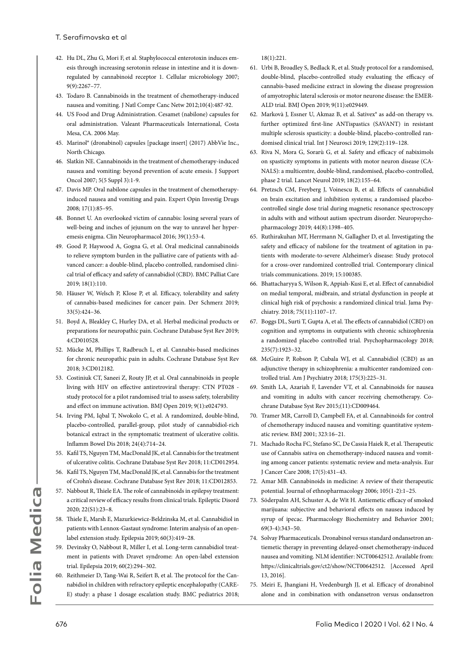- 42. Hu DL, Zhu G, Mori F, et al. Staphylococcal enterotoxin induces emesis through increasing serotonin release in intestine and it is downregulated by cannabinoid receptor 1. Cellular microbiology 2007; 9(9):2267–77.
- 43. Todaro B. Cannabinoids in the treatment of chemotherapy-induced nausea and vomiting. J Natl Compr Canc Netw 2012;10(4):487-92.
- 44. US Food and Drug Administration. Cesamet (nabilone) capsules for oral administration. Valeant Pharmaceuticals International, Costa Mesa, CA. 2006 May.
- 45. Marinol® (dronabinol) capsules [package insert] (2017) AbbVie Inc., North Chicago.
- 46. Slatkin NE. Cannabinoids in the treatment of chemotherapy-induced nausea and vomiting: beyond prevention of acute emesis. J Support Oncol 2007; 5(5 Suppl 3):1-9.
- 47. Davis MP. Oral nabilone capsules in the treatment of chemotherapyinduced nausea and vomiting and pain. Expert Opin Investig Drugs 2008; 17(1):85–95.
- 48. Bonnet U. An overlooked victim of cannabis: losing several years of well-being and inches of jejunum on the way to unravel her hyperemesis enigma. Clin Neuropharmacol 2016; 39(1):53-4.
- 49. Good P, Haywood A, Gogna G, et al. Oral medicinal cannabinoids to relieve symptom burden in the palliative care of patients with advanced cancer: a double-blind, placebo controlled, randomised clinical trial of efficacy and safety of cannabidiol (CBD). BMC Palliat Care 2019; 18(1):110.
- 50. Häuser W, Welsch P, Klose P, et al. Efficacy, tolerability and safety of cannabis-based medicines for cancer pain. Der Schmerz 2019; 33(5):424–36.
- 51. Boyd A, Bleakley C, Hurley DA, et al. Herbal medicinal products or preparations for neuropathic pain. Cochrane Database Syst Rev 2019; 4:CD010528.
- 52. Mücke M, Phillips T, Radbruch L, et al. Cannabis‐based medicines for chronic neuropathic pain in adults. Cochrane Database Syst Rev 2018; 3:CD012182.
- 53. Costiniuk CT, Saneei Z, Routy JP, et al. Oral cannabinoids in people living with HIV on effective antiretroviral therapy: CTN PT028 study protocol for a pilot randomised trial to assess safety, tolerability and effect on immune activation. BMJ Open 2019; 9(1):e024793.
- 54. Irving PM, Iqbal T, Nwokolo C, et al. A randomized, double-blind, placebo-controlled, parallel-group, pilot study of cannabidiol-rich botanical extract in the symptomatic treatment of ulcerative colitis. Inflamm Bowel Dis 2018; 24(4):714–24.
- 55. Kafil TS, Nguyen TM, MacDonald JK, et al. Cannabis for the treatment of ulcerative colitis. Cochrane Database Syst Rev 2018; 11:CD012954.
- 56. Kafil TS, Nguyen TM, MacDonald JK, et al. Cannabis for the treatment of Crohn's disease. Cochrane Database Syst Rev 2018; 11:CD012853.
- 57. Nabbout R, Thiele EA. The role of cannabinoids in epilepsy treatment: a critical review of efficacy results from clinical trials. Epileptic Disord 2020; 22(S1):23–8.
- 58. Thiele E, Marsh E, Mazurkiewicz‐Beldzinska M, et al. Cannabidiol in patients with Lennox‐Gastaut syndrome: Interim analysis of an open‐ label extension study. Epilepsia 2019; 60(3):419–28.
- 59. Devinsky O, Nabbout R, Miller I, et al. Long‐term cannabidiol treatment in patients with Dravet syndrome: An open‐label extension trial. Epilepsia 2019; 60(2):294–302.
- 60. Reithmeier D, Tang-Wai R, Seifert B, et al. The protocol for the Cannabidiol in children with refractory epileptic encephalopathy (CARE-E) study: a phase 1 dosage escalation study. BMC pediatrics 2018;

18(1):221.

- 61. Urbi B, Broadley S, Bedlack R, et al. Study protocol for a randomised, double-blind, placebo-controlled study evaluating the efficacy of cannabis-based medicine extract in slowing the disease progression of amyotrophic lateral sclerosis or motor neurone disease: the EMER-ALD trial. BMJ Open 2019; 9(11):e029449.
- 62. Markovà J, Essner U, Akmaz B, et al. Sativex® as add-on therapy vs. further optimized first-line ANTispastics (SAVANT) in resistant multiple sclerosis spasticity: a double-blind, placebo-controlled randomised clinical trial. Int J Neurosci 2019; 129(2):119–128.
- 63. Riva N, Mora G, Sorarù G, et al. Safety and efficacy of nabiximols on spasticity symptoms in patients with motor neuron disease (CA-NALS): a multicentre, double-blind, randomised, placebo-controlled, phase 2 trial. Lancet Neurol 2019; 18(2):155–64.
- 64. Pretzsch CM, Freyberg J, Voinescu B, et al. Effects of cannabidiol on brain excitation and inhibition systems; a randomised placebocontrolled single dose trial during magnetic resonance spectroscopy in adults with and without autism spectrum disorder. Neuropsychopharmacology 2019; 44(8):1398–405.
- 65. Ruthirakuhan MT, Herrmann N, Gallagher D, et al. Investigating the safety and efficacy of nabilone for the treatment of agitation in patients with moderate-to-severe Alzheimer's disease: Study protocol for a cross-over randomized controlled trial. Contemporary clinical trials communications. 2019; 15:100385.
- 66. Bhattacharyya S, Wilson R, Appiah-Kusi E, et al. Effect of cannabidiol on medial temporal, midbrain, and striatal dysfunction in people at clinical high risk of psychosis: a randomized clinical trial. Jama Psychiatry. 2018; 75(11):1107–17.
- 67. Boggs DL, Surti T, Gupta A, et al. The effects of cannabidiol (CBD) on cognition and symptoms in outpatients with chronic schizophrenia a randomized placebo controlled trial. Psychopharmacology 2018; 235(7):1923–32.
- 68. McGuire P, Robson P, Cubala WJ, et al. Cannabidiol (CBD) as an adjunctive therapy in schizophrenia: a multicenter randomized controlled trial. Am J Psychiatry 2018; 175(3):225–31.
- 69. Smith LA, Azariah F, Lavender VT, et al. Cannabinoids for nausea and vomiting in adults with cancer receiving chemotherapy. Cochrane Database Syst Rev 2015;(11):CD009464.
- 70. Tramer MR, Carroll D, Campbell FA, et al. Cannabinoids for control of chemotherapy induced nausea and vomiting: quantitative systematic review. BMJ 2001; 323:16–21.
- 71. Machado Rocha FC, Stefano SC, De Cassia Haiek R, et al. Therapeutic use of Cannabis sativa on chemotherapy‐induced nausea and vomiting among cancer patients: systematic review and meta‐analysis. Eur J Cancer Care 2008; 17(5):431–43.
- 72. Amar MB. Cannabinoids in medicine: A review of their therapeutic potential. Journal of ethnopharmacology 2006; 105(1-2):1–25.
- 73. Söderpalm AH, Schuster A, de Wit H. Antiemetic efficacy of smoked marijuana: subjective and behavioral effects on nausea induced by syrup of ipecac. Pharmacology Biochemistry and Behavior 2001; 69(3-4):343–50.
- 74. Solvay Pharmaceuticals. Dronabinol versus standard ondansetron antiemetic therapy in preventing delayed-onset chemotherapy-induced nausea and vomiting. NLM identifier: NCT00642512. Available from: https://clinicaltrials.gov/ct2/show/NCT00642512. [Accessed April 13, 2016].
- 75. Meiri E, Jhangiani H, Vredenburgh JJ, et al. Efficacy of dronabinol alone and in combination with ondansetron versus ondansetron

676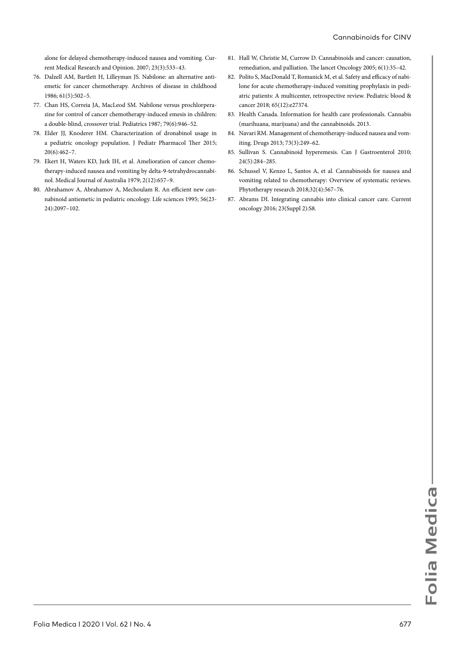alone for delayed chemotherapy-induced nausea and vomiting. Current Medical Research and Opinion. 2007; 23(3):533–43.

- 76. Dalzell AM, Bartlett H, Lilleyman JS. Nabilone: an alternative antiemetic for cancer chemotherapy. Archives of disease in childhood 1986; 61(5):502–5.
- 77. Chan HS, Correia JA, MacLeod SM. Nabilone versus prochlorperazine for control of cancer chemotherapy-induced emesis in children: a double-blind, crossover trial. Pediatrics 1987; 79(6):946–52.
- 78. Elder JJ, Knoderer HM. Characterization of dronabinol usage in a pediatric oncology population. J Pediatr Pharmacol Ther 2015; 20(6):462–7.
- 79. Ekert H, Waters KD, Jurk IH, et al. Amelioration of cancer chemotherapy-induced nausea and vomiting by delta-9-tetrahydrocannabinol. Medical Journal of Australia 1979; 2(12):657–9.
- 80. Abrahamov A, Abrahamov A, Mechoulam R. An efficient new cannabinoid antiemetic in pediatric oncology. Life sciences 1995; 56(23- 24):2097–102.
- 81. Hall W, Christie M, Currow D. Cannabinoids and cancer: causation, remediation, and palliation. The lancet Oncology 2005; 6(1):35–42.
- 82. Polito S, MacDonald T, Romanick M, et al. Safety and efficacy of nabilone for acute chemotherapy‐induced vomiting prophylaxis in pediatric patients: A multicenter, retrospective review. Pediatric blood & cancer 2018; 65(12):e27374.
- 83. Health Canada. Information for health care professionals. Cannabis (marihuana, marijuana) and the cannabinoids. 2013.
- 84. Navari RM. Management of chemotherapy-induced nausea and vomiting. Drugs 2013; 73(3):249–62.
- 85. Sullivan S. Cannabinoid hyperemesis. Can J Gastroenterol 2010; 24(5):284–285.
- 86. Schussel V, Kenzo L, Santos A, et al. Cannabinoids for nausea and vomiting related to chemotherapy: Overview of systematic reviews. Phytotherapy research 2018;32(4):567–76.
- 87. Abrams DI. Integrating cannabis into clinical cancer care. Current oncology 2016; 23(Suppl 2):S8.